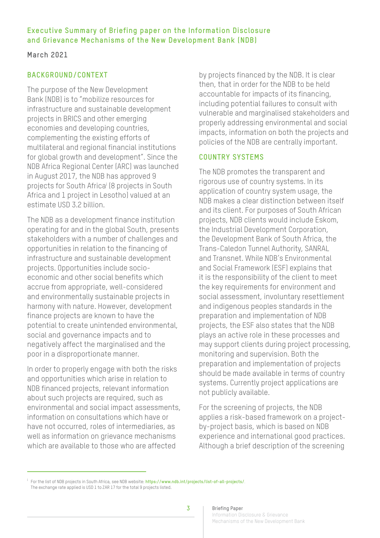## **Executive Summary of Briefing paper on the Information Disclosure and Grievance Mechanisms of the New Development Bank (NDB)**

### **March 2021**

# **BACKGROUND/CONTEXT**

The purpose of the New Development Bank (NDB) is to "mobilize resources for infrastructure and sustainable development projects in BRICS and other emerging economies and developing countries, complementing the existing efforts of multilateral and regional financial institutions for global growth and development". Since the NDB Africa Regional Center (ARC) was launched in August 2017, the NDB has approved 9 projects for South Africai (8 projects in South Africa and 1 project in Lesotho) valued at an estimate USD 3.2 billion.

The NDB as a development finance institution operating for and in the global South, presents stakeholders with a number of challenges and opportunities in relation to the financing of infrastructure and sustainable development projects. Opportunities include socioeconomic and other social benefits which accrue from appropriate, well-considered and environmentally sustainable projects in harmony with nature. However, development finance projects are known to have the potential to create unintended environmental, social and governance impacts and to negatively affect the marginalised and the poor in a disproportionate manner.

In order to properly engage with both the risks and opportunities which arise in relation to NDB financed projects, relevant information about such projects are required, such as environmental and social impact assessments, information on consultations which have or have not occurred, roles of intermediaries, as well as information on grievance mechanisms which are available to those who are affected

by projects financed by the NDB. It is clear then, that in order for the NDB to be held accountable for impacts of its financing, including potential failures to consult with vulnerable and marginalised stakeholders and properly addressing environmental and social impacts, information on both the projects and policies of the NDB are centrally important.

## **COUNTRY SYSTEMS**

The NDB promotes the transparent and rigorous use of country systems. In its application of country system usage, the NDB makes a clear distinction between itself and its client. For purposes of South African projects, NDB clients would include Eskom, the Industrial Development Corporation, the Development Bank of South Africa, the Trans-Caledon Tunnel Authority, SANRAL and Transnet. While NDB's Environmental and Social Framework (ESF) explains that it is the responsibility of the client to meet the key requirements for environment and social assessment, involuntary resettlement and indigenous peoples standards in the preparation and implementation of NDB projects, the ESF also states that the NDB plays an active role in these processes and may support clients during project processing, monitoring and supervision. Both the preparation and implementation of projects should be made available in terms of country systems. Currently project applications are not publicly available.

For the screening of projects, the NDB applies a risk-based framework on a projectby-project basis, which is based on NDB experience and international good practices. Although a brief description of the screening

<sup>i</sup> For the list of NDB projects in South Africa, see NDB website: **<https://www.ndb.int/projects/list-of-all-projects/>**. The exchange rate applied is USD 1 to ZAR 17 for the total 9 projects listed.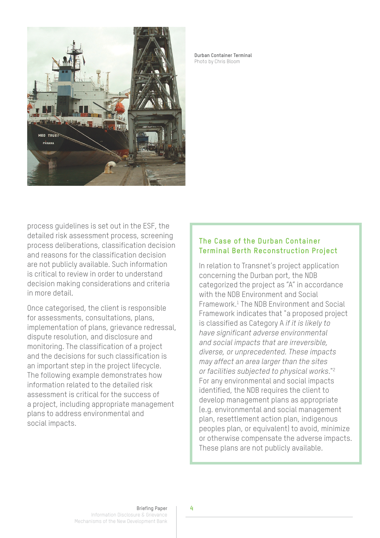

**Durban Container Terminal** Photo by Chris Bloom

process guidelines is set out in the ESF, the detailed risk assessment process, screening process deliberations, classification decision and reasons for the classification decision are not publicly available. Such information is critical to review in order to understand decision making considerations and criteria in more detail.

Once categorised, the client is responsible for assessments, consultations, plans, implementation of plans, grievance redressal, dispute resolution, and disclosure and monitoring. The classification of a project and the decisions for such classification is an important step in the project lifecycle. The following example demonstrates how information related to the detailed risk assessment is critical for the success of a project, including appropriate management plans to address environmental and social impacts.

#### **The Case of the Durban Container Terminal Berth Reconstruction Project**

In relation to Transnet's project application concerning the Durban port, the NDB categorized the project as "A" in accordance with the NDB Environment and Social Framework.<sup>1</sup> The NDB Environment and Social Framework indicates that "a proposed project is classified as Category A *if it is likely to have significant adverse environmental and social impacts that are irreversible, diverse, or unprecedented. These impacts may affect an area larger than the sites or facilities subjected to physical works*."2 For any environmental and social impacts identified, the NDB requires the client to develop management plans as appropriate (e.g. environmental and social management plan, resettlement action plan, indigenous peoples plan, or equivalent) to avoid, minimize or otherwise compensate the adverse impacts. These plans are not publicly available.